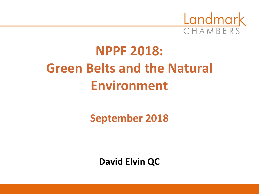

# **NPPF 2018: Green Belts and the Natural Environment**

**September 2018**

**David Elvin QC**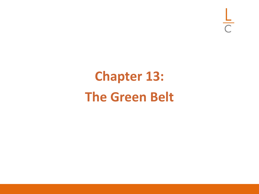$rac{L}{C}$ 

# **Chapter 13: The Green Belt**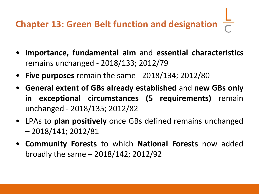# **Chapter 13: Green Belt function and designation**

- **Importance, fundamental aim** and **essential characteristics** remains unchanged - 2018/133; 2012/79
- **Five purposes** remain the same 2018/134; 2012/80
- **General extent of GBs already established** and **new GBs only in exceptional circumstances (5 requirements)** remain unchanged - 2018/135; 2012/82
- LPAs to **plan positively** once GBs defined remains unchanged – 2018/141; 2012/81
- **Community Forests** to which **National Forests** now added broadly the same – 2018/142; 2012/92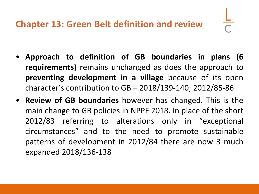- **Approach to definition of GB boundaries in plans (6 requirements)** remains unchanged as does the approach to **preventing development in a village** because of its open character's contribution to GB – 2018/139-140; 2012/85-86
- **Review of GB boundaries** however has changed. This is the main change to GB policies in NPPF 2018. In place of the short 2012/83 referring to alterations only in "exceptional circumstances" and to the need to promote sustainable patterns of development in 2012/84 there are now 3 much expanded 2018/136-138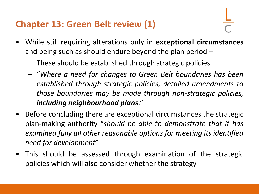#### **Chapter 13: Green Belt review (1)**

- 
- While still requiring alterations only in **exceptional circumstances** and being such as should endure beyond the plan period –
	- These should be established through strategic policies
	- "*Where a need for changes to Green Belt boundaries has been established through strategic policies, detailed amendments to those boundaries may be made through non-strategic policies, including neighbourhood plans*."
- Before concluding there are exceptional circumstances the strategic plan-making authority "*should be able to demonstrate that it has examined fully all other reasonable options for meeting its identified need for development*"
- This should be assessed through examination of the strategic policies which will also consider whether the strategy -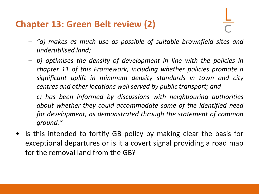#### **Chapter 13: Green Belt review (2)**

- *"a) makes as much use as possible of suitable brownfield sites and underutilised land;*
- *b) optimises the density of development in line with the policies in chapter 11 of this Framework, including whether policies promote a significant uplift in minimum density standards in town and city centres and other locations well served by public transport; and*
- *c) has been informed by discussions with neighbouring authorities about whether they could accommodate some of the identified need for development, as demonstrated through the statement of common ground."*
- Is this intended to fortify GB policy by making clear the basis for exceptional departures or is it a covert signal providing a road map for the removal land from the GB?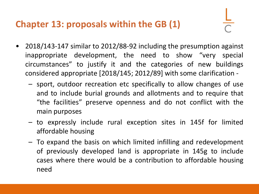#### **Chapter 13: proposals within the GB (1)**

- 
- 2018/143-147 similar to 2012/88-92 including the presumption against inappropriate development, the need to show "very special circumstances" to justify it and the categories of new buildings considered appropriate [2018/145; 2012/89] with some clarification -
	- sport, outdoor recreation etc specifically to allow changes of use and to include burial grounds and allotments and to require that "the facilities" preserve openness and do not conflict with the main purposes
	- to expressly include rural exception sites in 145f for limited affordable housing
	- To expand the basis on which limited infilling and redevelopment of previously developed land is appropriate in 145g to include cases where there would be a contribution to affordable housing need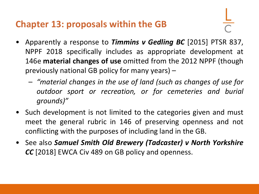#### **Chapter 13: proposals within the GB**

- 
- Apparently a response to *Timmins v Gedling BC* [2015] PTSR 837, NPPF 2018 specifically includes as appropriate development at 146e **material changes of use** omitted from the 2012 NPPF (though previously national GB policy for many years) –
	- *"material changes in the use of land (such as changes of use for outdoor sport or recreation, or for cemeteries and burial grounds)"*
- Such development is not limited to the categories given and must meet the general rubric in 146 of preserving openness and not conflicting with the purposes of including land in the GB.
- See also *Samuel Smith Old Brewery (Tadcaster) v North Yorkshire CC* [2018] EWCA Civ 489 on GB policy and openness.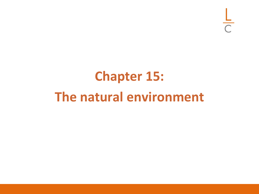$rac{L}{C}$ 

# **Chapter 15: The natural environment**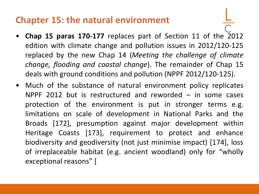#### **Chapter 15: the natural environment**

- **Chap 15 paras 170-177** replaces part of Section 11 of the 2012 edition with climate change and pollution issues in 2012/120-125 replaced by the new Chap 14 (*Meeting the challenge of climate change, flooding and coastal change*). The remainder of Chap 15 deals with ground conditions and pollution (NPPF 2012/120-125).
- Much of the substance of natural environment policy replicates NPPF 2012 but is restructured and reworded – in some cases protection of the environment is put in stronger terms e.g. limitations on scale of development in National Parks and the Broads [172], presumption against major development within Heritage Coasts [173], requirement to protect and enhance biodiversity and geodiversity (not just minimise impact) [174], loss of irreplaceable habitat (e.g. ancient woodland) only for "wholly exceptional reasons" [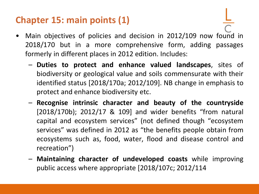### **Chapter 15: main points (1)**

- Main objectives of policies and decision in 2012/109 now found in 2018/170 but in a more comprehensive form, adding passages formerly in different places in 2012 edition. Includes:
	- **Duties to protect and enhance valued landscapes**, sites of biodiversity or geological value and soils commensurate with their identified status [2018/170a; 2012/109]. NB change in emphasis to protect and enhance biodiversity etc.
	- **Recognise intrinsic character and beauty of the countryside** [2018/170b); 2012/17 & 109] and wider benefits "from natural capital and ecosystem services" (not defined though "ecosystem services" was defined in 2012 as "the benefits people obtain from ecosystems such as, food, water, flood and disease control and recreation")
	- **Maintaining character of undeveloped coasts** while improving public access where appropriate [2018/107c; 2012/114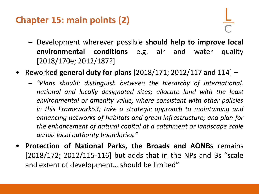### **Chapter 15: main points (2)**

- Development wherever possible **should help to improve local environmental conditions** e.g. air and water quality [2018/170e; 2012/187?]
- Reworked **general duty for plans** [2018/171; 2012/117 and 114]
	- *"Plans should: distinguish between the hierarchy of international, national and locally designated sites; allocate land with the least environmental or amenity value, where consistent with other policies in this Framework53; take a strategic approach to maintaining and enhancing networks of habitats and green infrastructure; and plan for the enhancement of natural capital at a catchment or landscape scale across local authority boundaries."*
- **Protection of National Parks, the Broads and AONBs** remains [2018/172; 2012/115-116] but adds that in the NPs and Bs "scale and extent of development… should be limited"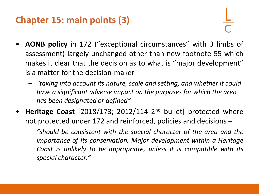## **Chapter 15: main points (3)**

- **AONB policy** in 172 ("exceptional circumstances" with 3 limbs of assessment) largely unchanged other than new footnote 55 which makes it clear that the decision as to what is "major development" is a matter for the decision-maker -
	- *"taking into account its nature, scale and setting, and whether it could have a significant adverse impact on the purposes for which the area has been designated or defined"*
- Heritage Coast [2018/173; 2012/114 2<sup>nd</sup> bullet] protected where not protected under 172 and reinforced, policies and decisions –
	- *"should be consistent with the special character of the area and the importance of its conservation. Major development within a Heritage Coast is unlikely to be appropriate, unless it is compatible with its special character."*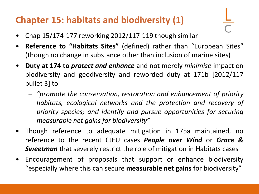## **Chapter 15: habitats and biodiversity (1)**

- Chap 15/174-177 reworking 2012/117-119 though similar
- **Reference to "Habitats Sites"** (defined) rather than "European Sites" (though no change in substance other than inclusion of marine sites)
- **Duty at 174 to** *protect and enhance* and not merely *minimise* impact on biodiversity and geodiversity and reworded duty at 171b [2012/117 bullet 3] to
	- *"promote the conservation, restoration and enhancement of priority habitats, ecological networks and the protection and recovery of priority species; and identify and pursue opportunities for securing measurable net gains for biodiversity"*
- Though reference to adequate mitigation in 175a maintained, no reference to the recent CJEU cases *People over Wind* or *Grace & Sweetman* that severely restrict the role of mitigation in Habitats cases
- Encouragement of proposals that support or enhance biodiversity "especially where this can secure **measurable net gains** for biodiversity"